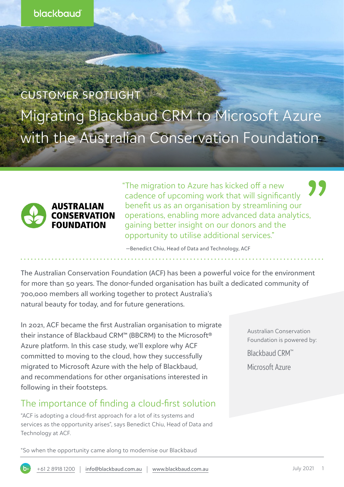CUSTOMER SPOTLIGHT Migrating Blackbaud CRM to Microsoft Azure with the Australian Conservation Foundation



"The migration to Azure has kicked off a new cadence of upcoming work that will significantly benefit us as an organisation by streamlining our operations, enabling more advanced data analytics, gaining better insight on our donors and the opportunity to utilise additional services."

—Benedict Chiu, Head of Data and Technology, ACF

The Australian Conservation Foundation (ACF) has been a powerful voice for the environment for more than 50 years. The donor-funded organisation has built a dedicated community of 700,000 members all working together to protect Australia's natural beauty for today, and for future generations.

In 2021, ACF became the first Australian organisation to migrate their instance of Blackbaud CRM™ (BBCRM) to the Microsoft® Azure platform. In this case study, we'll explore why ACF committed to moving to the cloud, how they successfully migrated to Microsoft Azure with the help of Blackbaud, and recommendations for other organisations interested in following in their footsteps.

## The importance of finding a cloud-first solution

"ACF is adopting a cloud-first approach for a lot of its systems and services as the opportunity arises", says Benedict Chiu, Head of Data and Technology at ACF.

Australian Conservation Foundation is powered by:

[Blackbaud CRM™](https://www.blackbaud.com.au/products/blackbaud-crm)

[Microsoft Azure](https://resourcehub.blackbaud.com.au/crm/blackbaud-cloud-operations-in-a-microsoft-azure-environment-bbp-2020)

"So when the opportunity came along to modernise our Blackbaud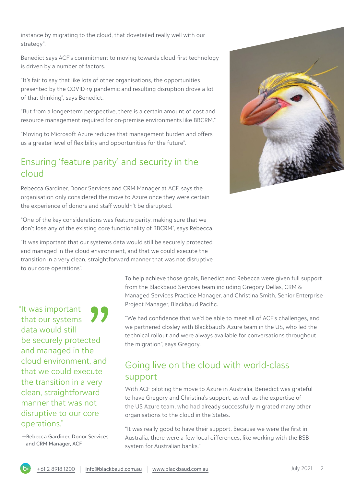instance by migrating to the cloud, that dovetailed really well with our strategy".

Benedict says ACF's commitment to moving towards cloud-first technology is driven by a number of factors.

"It's fair to say that like lots of other organisations, the opportunities presented by the COVID-19 pandemic and resulting disruption drove a lot of that thinking", says Benedict.

"But from a longer-term perspective, there is a certain amount of cost and resource management required for on-premise environments like BBCRM."

"Moving to Microsoft Azure reduces that management burden and offers us a greater level of flexibility and opportunities for the future".

### Ensuring 'feature parity' and security in the cloud

Rebecca Gardiner, Donor Services and CRM Manager at ACF, says the organisation only considered the move to Azure once they were certain the experience of donors and staff wouldn't be disrupted.

"One of the key considerations was feature parity, making sure that we don't lose any of the existing core functionality of BBCRM", says Rebecca.

"It was important that our systems data would still be securely protected and managed in the cloud environment, and that we could execute the transition in a very clean, straightforward manner that was not disruptive to our core operations".

"It was important that our systems data would still be securely protected and managed in the cloud environment, and that we could execute the transition in a very clean, straightforward manner that was not disruptive to our core operations."

 —Rebecca Gardiner, Donor Services and CRM Manager, ACF

To help achieve those goals, Benedict and Rebecca were given full support from the Blackbaud Services team including Gregory Dellas, CRM & Managed Services Practice Manager, and Christina Smith, Senior Enterprise Project Manager, Blackbaud Pacific.

"We had confidence that we'd be able to meet all of ACF's challenges, and we partnered closley with Blackbaud's Azure team in the US, who led the technical rollout and were always available for conversations throughout the migration", says Gregory.

# Going live on the cloud with world-class support

With ACF piloting the move to Azure in Australia, Benedict was grateful to have Gregory and Christina's support, as well as the expertise of the US Azure team, who had already successfully migrated many other organisations to the cloud in the States.

"It was really good to have their support. Because we were the first in Australia, there were a few local differences, like working with the BSB system for Australian banks."